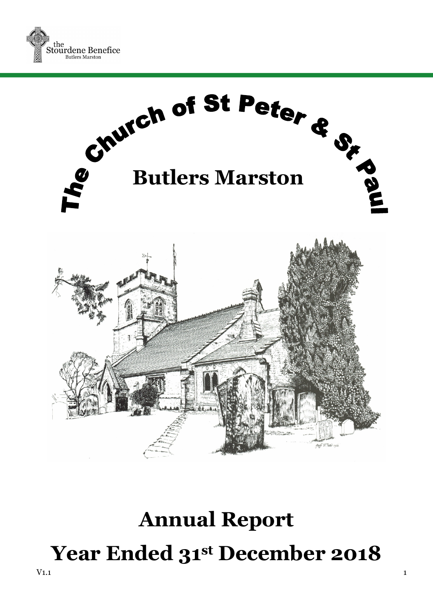



# **Annual Report Year Ended 31st December 2018**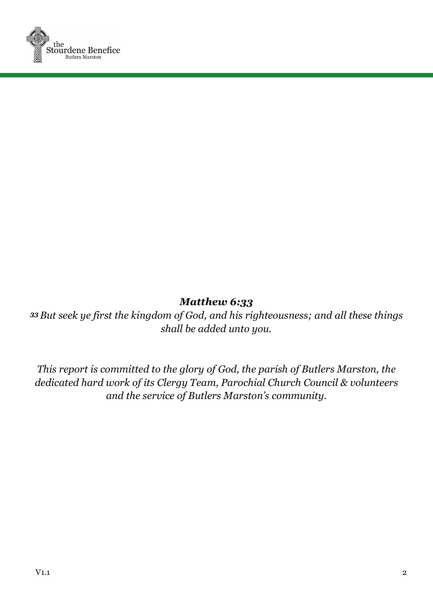

## *Matthew 6:33*

*<sup>33</sup>But seek ye first the kingdom of God, and his righteousness; and all these things shall be added unto you.*

*This report is committed to the glory of God, the parish of Butlers Marston, the dedicated hard work of its Clergy Team, Parochial Church Council & volunteers and the service of Butlers Marston's community.*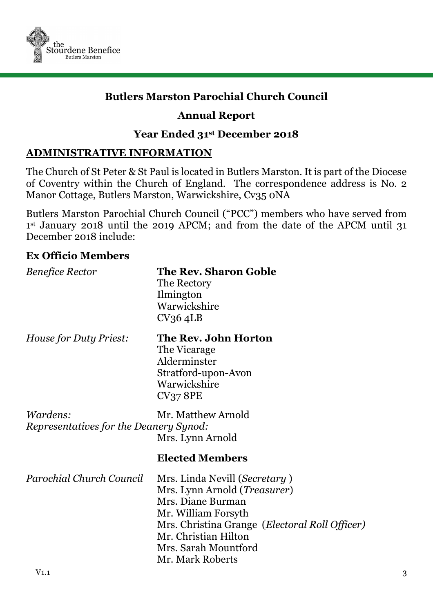

### **Butlers Marston Parochial Church Council**

### **Annual Report**

### **Year Ended 31st December 2018**

#### **ADMINISTRATIVE INFORMATION**

The Church of St Peter & St Paul is located in Butlers Marston. It is part of the Diocese of Coventry within the Church of England. The correspondence address is No. 2 Manor Cottage, Butlers Marston, Warwickshire, Cv35 0NA

Butlers Marston Parochial Church Council ("PCC") members who have served from 1st January 2018 until the 2019 APCM; and from the date of the APCM until 31 December 2018 include:

#### **Ex Officio Members**

| <b>Benefice Rector</b>                                    | <b>The Rev. Sharon Goble</b><br>The Rectory<br>Ilmington<br>Warwickshire<br>CV <sub>36</sub> 4LB                                                                                                                                         |
|-----------------------------------------------------------|------------------------------------------------------------------------------------------------------------------------------------------------------------------------------------------------------------------------------------------|
| <i>House for Duty Priest:</i>                             | <b>The Rev. John Horton</b><br>The Vicarage<br>Alderminster<br>Stratford-upon-Avon<br>Warwickshire<br>$CV37$ $8PE$                                                                                                                       |
| <i>Wardens:</i><br>Representatives for the Deanery Synod: | Mr. Matthew Arnold<br>Mrs. Lynn Arnold                                                                                                                                                                                                   |
|                                                           | <b>Elected Members</b>                                                                                                                                                                                                                   |
| Parochial Church Council                                  | Mrs. Linda Nevill (Secretary)<br>Mrs. Lynn Arnold ( <i>Treasurer</i> )<br>Mrs. Diane Burman<br>Mr. William Forsyth<br>Mrs. Christina Grange (Electoral Roll Officer)<br>Mr. Christian Hilton<br>Mrs. Sarah Mountford<br>Mr. Mark Roberts |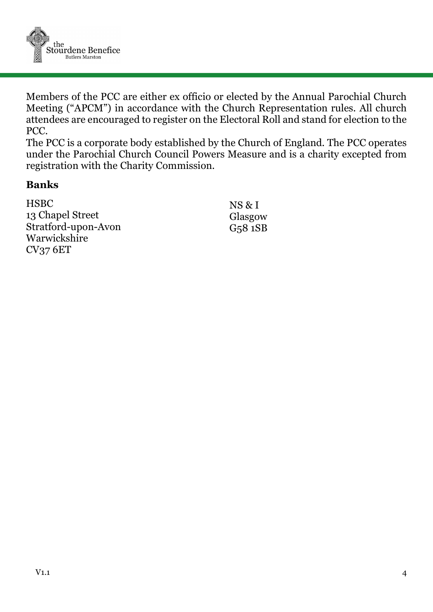

Members of the PCC are either ex officio or elected by the Annual Parochial Church Meeting ("APCM") in accordance with the Church Representation rules. All church attendees are encouraged to register on the Electoral Roll and stand for election to the PCC.

The PCC is a corporate body established by the Church of England. The PCC operates under the Parochial Church Council Powers Measure and is a charity excepted from registration with the Charity Commission.

#### **Banks**

**HSBC** 13 Chapel Street Stratford-upon-Avon Warwickshire CV37 6ET

NS & I Glasgow G58 1SB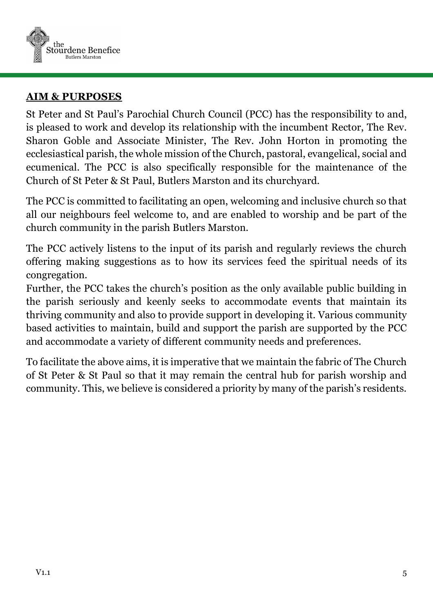

#### **AIM & PURPOSES**

St Peter and St Paul's Parochial Church Council (PCC) has the responsibility to and, is pleased to work and develop its relationship with the incumbent Rector, The Rev. Sharon Goble and Associate Minister, The Rev. John Horton in promoting the ecclesiastical parish, the whole mission of the Church, pastoral, evangelical, social and ecumenical. The PCC is also specifically responsible for the maintenance of the Church of St Peter & St Paul, Butlers Marston and its churchyard.

The PCC is committed to facilitating an open, welcoming and inclusive church so that all our neighbours feel welcome to, and are enabled to worship and be part of the church community in the parish Butlers Marston.

The PCC actively listens to the input of its parish and regularly reviews the church offering making suggestions as to how its services feed the spiritual needs of its congregation.

Further, the PCC takes the church's position as the only available public building in the parish seriously and keenly seeks to accommodate events that maintain its thriving community and also to provide support in developing it. Various community based activities to maintain, build and support the parish are supported by the PCC and accommodate a variety of different community needs and preferences.

To facilitate the above aims, it is imperative that we maintain the fabric of The Church of St Peter & St Paul so that it may remain the central hub for parish worship and community. This, we believe is considered a priority by many of the parish's residents.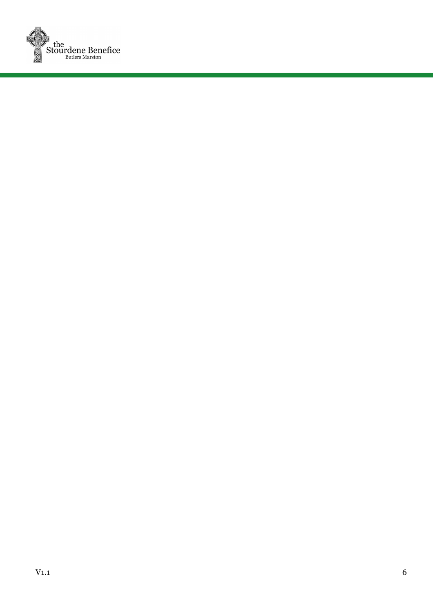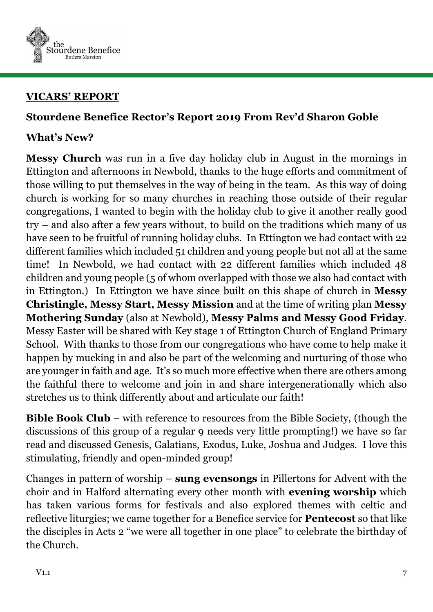

## **VICARS' REPORT**

## **Stourdene Benefice Rector's Report 2019 From Rev'd Sharon Goble**

## **What's New?**

**Messy Church** was run in a five day holiday club in August in the mornings in Ettington and afternoons in Newbold, thanks to the huge efforts and commitment of those willing to put themselves in the way of being in the team. As this way of doing church is working for so many churches in reaching those outside of their regular congregations, I wanted to begin with the holiday club to give it another really good try – and also after a few years without, to build on the traditions which many of us have seen to be fruitful of running holiday clubs. In Ettington we had contact with 22 different families which included 51 children and young people but not all at the same time! In Newbold, we had contact with 22 different families which included 48 children and young people (5 of whom overlapped with those we also had contact with in Ettington.) In Ettington we have since built on this shape of church in **Messy Christingle, Messy Start, Messy Mission** and at the time of writing plan **Messy Mothering Sunday** (also at Newbold), **Messy Palms and Messy Good Friday**. Messy Easter will be shared with Key stage 1 of Ettington Church of England Primary School. With thanks to those from our congregations who have come to help make it happen by mucking in and also be part of the welcoming and nurturing of those who are younger in faith and age. It's so much more effective when there are others among the faithful there to welcome and join in and share intergenerationally which also stretches us to think differently about and articulate our faith!

**Bible Book Club** – with reference to resources from the Bible Society, (though the discussions of this group of a regular 9 needs very little prompting!) we have so far read and discussed Genesis, Galatians, Exodus, Luke, Joshua and Judges. I love this stimulating, friendly and open-minded group!

Changes in pattern of worship – **sung evensongs** in Pillertons for Advent with the choir and in Halford alternating every other month with **evening worship** which has taken various forms for festivals and also explored themes with celtic and reflective liturgies; we came together for a Benefice service for **Pentecost** so that like the disciples in Acts 2 "we were all together in one place" to celebrate the birthday of the Church.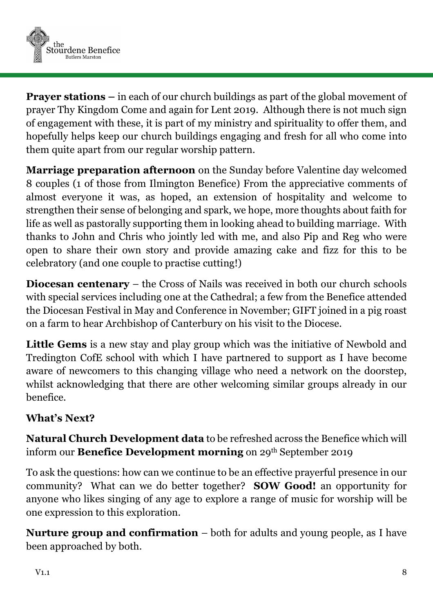

**Prayer stations –** in each of our church buildings as part of the global movement of prayer Thy Kingdom Come and again for Lent 2019. Although there is not much sign of engagement with these, it is part of my ministry and spirituality to offer them, and hopefully helps keep our church buildings engaging and fresh for all who come into them quite apart from our regular worship pattern.

**Marriage preparation afternoon** on the Sunday before Valentine day welcomed 8 couples (1 of those from Ilmington Benefice) From the appreciative comments of almost everyone it was, as hoped, an extension of hospitality and welcome to strengthen their sense of belonging and spark, we hope, more thoughts about faith for life as well as pastorally supporting them in looking ahead to building marriage. With thanks to John and Chris who jointly led with me, and also Pip and Reg who were open to share their own story and provide amazing cake and fizz for this to be celebratory (and one couple to practise cutting!)

**Diocesan centenary** – the Cross of Nails was received in both our church schools with special services including one at the Cathedral; a few from the Benefice attended the Diocesan Festival in May and Conference in November; GIFT joined in a pig roast on a farm to hear Archbishop of Canterbury on his visit to the Diocese.

**Little Gems** is a new stay and play group which was the initiative of Newbold and Tredington CofE school with which I have partnered to support as I have become aware of newcomers to this changing village who need a network on the doorstep, whilst acknowledging that there are other welcoming similar groups already in our benefice.

# **What's Next?**

**Natural Church Development data** to be refreshed across the Benefice which will inform our **Benefice Development morning** on 29th September 2019

To ask the questions: how can we continue to be an effective prayerful presence in our community? What can we do better together? **SOW Good!** an opportunity for anyone who likes singing of any age to explore a range of music for worship will be one expression to this exploration.

**Nurture group and confirmation** – both for adults and young people, as I have been approached by both.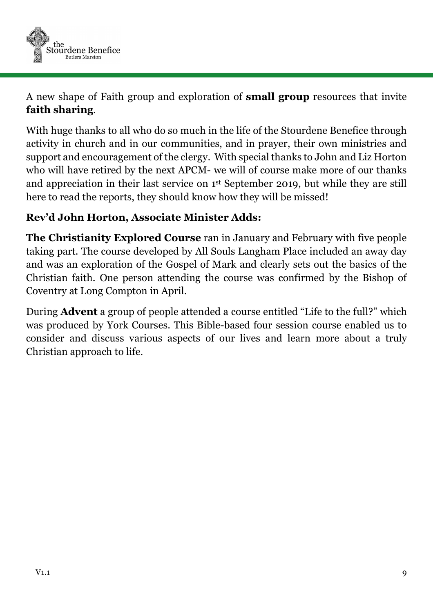

A new shape of Faith group and exploration of **small group** resources that invite **faith sharing**.

With huge thanks to all who do so much in the life of the Stourdene Benefice through activity in church and in our communities, and in prayer, their own ministries and support and encouragement of the clergy. With special thanks to John and Liz Horton who will have retired by the next APCM- we will of course make more of our thanks and appreciation in their last service on 1st September 2019, but while they are still here to read the reports, they should know how they will be missed!

## **Rev'd John Horton, Associate Minister Adds:**

**The Christianity Explored Course** ran in January and February with five people taking part. The course developed by All Souls Langham Place included an away day and was an exploration of the Gospel of Mark and clearly sets out the basics of the Christian faith. One person attending the course was confirmed by the Bishop of Coventry at Long Compton in April.

During **Advent** a group of people attended a course entitled "Life to the full?" which was produced by York Courses. This Bible-based four session course enabled us to consider and discuss various aspects of our lives and learn more about a truly Christian approach to life.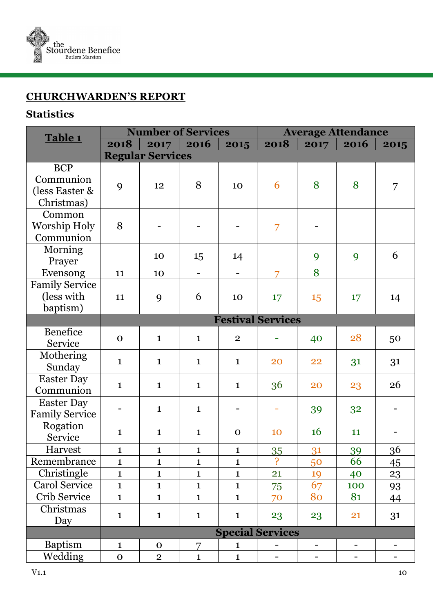

# **CHURCHWARDEN'S REPORT**

# **Statistics**

|                                                 | <b>Number of Services</b> |                         |                          |                | <b>Average Attendance</b> |                |                |           |
|-------------------------------------------------|---------------------------|-------------------------|--------------------------|----------------|---------------------------|----------------|----------------|-----------|
| Table 1                                         | 2018                      | 2017                    | 2016                     | 2015           | 2018                      | 2017           | 2016           | 2015      |
|                                                 |                           | <b>Regular Services</b> |                          |                |                           |                |                |           |
| <b>BCP</b>                                      |                           |                         |                          |                |                           |                |                |           |
| Communion<br>(less Easter &<br>Christmas)       | 9                         | 12                      | 8                        | 10             | 6                         | 8              | 8              | 7         |
| Common<br>Worship Holy<br>Communion             | 8                         |                         |                          |                | $\overline{7}$            |                |                |           |
| Morning<br>Prayer                               |                           | 10                      | 15                       | 14             |                           | 9              | 9              | 6         |
| Evensong                                        | 11                        | 10                      | $\overline{\phantom{0}}$ | $\blacksquare$ | 7                         | 8              |                |           |
| <b>Family Service</b><br>(less with<br>baptism) | 11                        | 9                       | 6                        | 10             | 17                        | 15             | 17             | 14        |
|                                                 | <b>Festival Services</b>  |                         |                          |                |                           |                |                |           |
| Benefice<br>Service                             | $\mathbf{O}$              | $\mathbf{1}$            | $\mathbf{1}$             | $\overline{2}$ |                           | 40             | 28             | 50        |
| Mothering<br>Sunday                             | $\mathbf{1}$              | $\mathbf{1}$            | $\mathbf{1}$             | $\mathbf{1}$   | 20                        | 22             | 31             | 31        |
| <b>Easter Day</b><br>Communion                  | $\mathbf{1}$              | $\mathbf{1}$            | $\mathbf{1}$             | $\mathbf{1}$   | 36                        | 20             | 23             | 26        |
| <b>Easter Day</b><br><b>Family Service</b>      |                           | $\mathbf{1}$            | $\mathbf{1}$             |                |                           | 39             | 32             |           |
| Rogation<br>Service                             | $\mathbf{1}$              | $\mathbf{1}$            | $\mathbf{1}$             | $\mathbf{O}$   | 10                        | 16             | 11             |           |
| Harvest                                         | $\mathbf{1}$              | $\mathbf{1}$            | $\mathbf{1}$             | $\mathbf{1}$   | 35                        | 31             | 39             | <u>36</u> |
| Remembrance                                     | $\mathbf{1}$              | $\mathbf{1}$            | $\mathbf{1}$             | $\mathbf{1}$   | $\mathbf{P}$              | 50             | 66             | 45        |
| Christingle                                     | $\mathbf{1}$              | $\mathbf{1}$            | $\mathbf{1}$             | $\mathbf{1}$   | 21                        | 19             | 40             | 23        |
| Carol Service                                   | $\mathbf{1}$              | $\mathbf{1}$            | $\mathbf{1}$             | $\mathbf{1}$   | 75                        | 67             | 100            | 93        |
| Crib Service                                    | $\mathbf{1}$              | $\mathbf{1}$            | $\mathbf{1}$             | $\mathbf{1}$   | 70                        | 80             | 81             | 44        |
| Christmas<br>Day                                | $\mathbf{1}$              | $\mathbf{1}$            | $\mathbf{1}$             | $\mathbf{1}$   | 23                        | 23             | 21             | 31        |
|                                                 |                           | <b>Special Services</b> |                          |                |                           |                |                |           |
| <b>Baptism</b>                                  | $\mathbf{1}$              | $\mathbf{O}$            | 7                        | $\mathbf{1}$   |                           | $\blacksquare$ | $\blacksquare$ |           |
| Wedding                                         | $\mathbf{O}$              | $\overline{2}$          | $\mathbf{1}$             | $\mathbf{1}$   |                           |                | -              |           |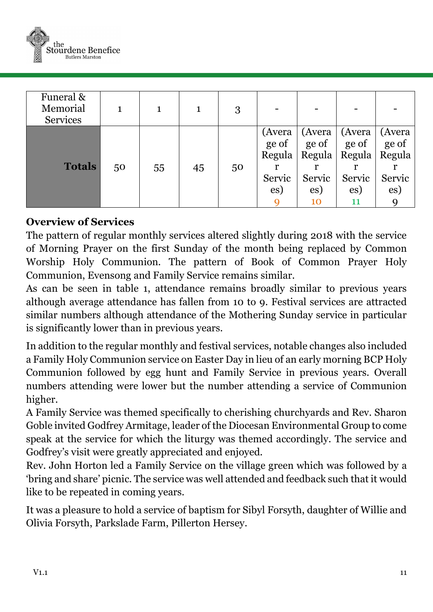

| Funeral &<br>Memorial<br><b>Services</b> |    |    |    | 3  |                 |                 |                 |                 |
|------------------------------------------|----|----|----|----|-----------------|-----------------|-----------------|-----------------|
|                                          |    |    |    |    | (Avera<br>ge of | (Avera<br>ge of | (Avera<br>ge of | (Avera<br>ge of |
|                                          |    |    |    |    | Regula          | Regula          | Regula          | Regula          |
| <b>Totals</b>                            | 50 | 55 | 45 | 50 |                 |                 |                 |                 |
|                                          |    |    |    |    | Servic          | Servic          | Servic          | Servic          |
|                                          |    |    |    |    | es)             | es)             | es)             | es)             |
|                                          |    |    |    |    |                 | 10              | 11              |                 |

## **Overview of Services**

The pattern of regular monthly services altered slightly during 2018 with the service of Morning Prayer on the first Sunday of the month being replaced by Common Worship Holy Communion. The pattern of Book of Common Prayer Holy Communion, Evensong and Family Service remains similar.

As can be seen in table 1, attendance remains broadly similar to previous years although average attendance has fallen from 10 to 9. Festival services are attracted similar numbers although attendance of the Mothering Sunday service in particular is significantly lower than in previous years.

In addition to the regular monthly and festival services, notable changes also included a Family Holy Communion service on Easter Day in lieu of an early morning BCP Holy Communion followed by egg hunt and Family Service in previous years. Overall numbers attending were lower but the number attending a service of Communion higher.

A Family Service was themed specifically to cherishing churchyards and Rev. Sharon Goble invited Godfrey Armitage, leader of the Diocesan Environmental Group to come speak at the service for which the liturgy was themed accordingly. The service and Godfrey's visit were greatly appreciated and enjoyed.

Rev. John Horton led a Family Service on the village green which was followed by a 'bring and share' picnic. The service was well attended and feedback such that it would like to be repeated in coming years.

It was a pleasure to hold a service of baptism for Sibyl Forsyth, daughter of Willie and Olivia Forsyth, Parkslade Farm, Pillerton Hersey.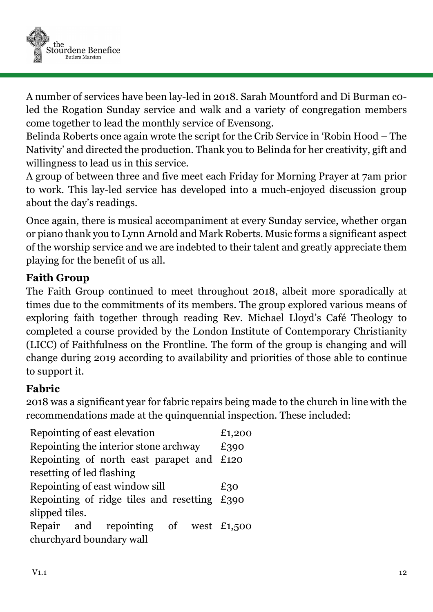

A number of services have been lay-led in 2018. Sarah Mountford and Di Burman c0 led the Rogation Sunday service and walk and a variety of congregation members come together to lead the monthly service of Evensong.

Belinda Roberts once again wrote the script for the Crib Service in 'Robin Hood – The Nativity' and directed the production. Thank you to Belinda for her creativity, gift and willingness to lead us in this service.

A group of between three and five meet each Friday for Morning Prayer at 7am prior to work. This lay-led service has developed into a much-enjoyed discussion group about the day's readings.

Once again, there is musical accompaniment at every Sunday service, whether organ or piano thank you to Lynn Arnold and Mark Roberts. Music forms a significant aspect of the worship service and we are indebted to their talent and greatly appreciate them playing for the benefit of us all.

## **Faith Group**

The Faith Group continued to meet throughout 2018, albeit more sporadically at times due to the commitments of its members. The group explored various means of exploring faith together through reading Rev. Michael Lloyd's Café Theology to completed a course provided by the London Institute of Contemporary Christianity (LICC) of Faithfulness on the Frontline. The form of the group is changing and will change during 2019 according to availability and priorities of those able to continue to support it.

# **Fabric**

2018 was a significant year for fabric repairs being made to the church in line with the recommendations made at the quinquennial inspection. These included:

| Repointing of east elevation                   | £1,200 |  |
|------------------------------------------------|--------|--|
| Repointing the interior stone archway          | £390   |  |
| Repointing of north east parapet and £120      |        |  |
| resetting of led flashing                      |        |  |
| Repointing of east window sill                 | £30    |  |
| Repointing of ridge tiles and resetting $£390$ |        |  |
| slipped tiles.                                 |        |  |
| Repair and repointing of west $£1,500$         |        |  |
| churchyard boundary wall                       |        |  |
|                                                |        |  |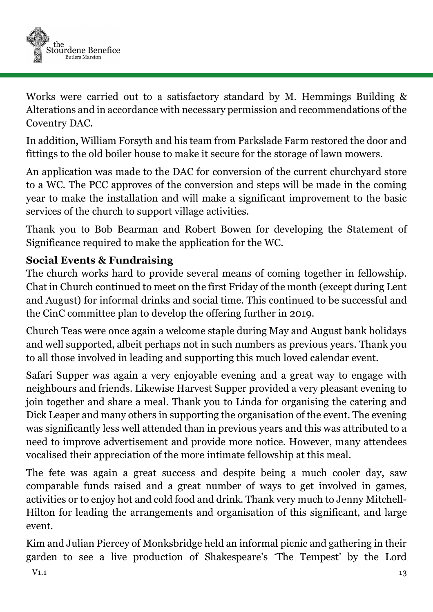

Works were carried out to a satisfactory standard by M. Hemmings Building & Alterations and in accordance with necessary permission and recommendations of the Coventry DAC.

In addition, William Forsyth and his team from Parkslade Farm restored the door and fittings to the old boiler house to make it secure for the storage of lawn mowers.

An application was made to the DAC for conversion of the current churchyard store to a WC. The PCC approves of the conversion and steps will be made in the coming year to make the installation and will make a significant improvement to the basic services of the church to support village activities.

Thank you to Bob Bearman and Robert Bowen for developing the Statement of Significance required to make the application for the WC.

# **Social Events & Fundraising**

The church works hard to provide several means of coming together in fellowship. Chat in Church continued to meet on the first Friday of the month (except during Lent and August) for informal drinks and social time. This continued to be successful and the CinC committee plan to develop the offering further in 2019.

Church Teas were once again a welcome staple during May and August bank holidays and well supported, albeit perhaps not in such numbers as previous years. Thank you to all those involved in leading and supporting this much loved calendar event.

Safari Supper was again a very enjoyable evening and a great way to engage with neighbours and friends. Likewise Harvest Supper provided a very pleasant evening to join together and share a meal. Thank you to Linda for organising the catering and Dick Leaper and many others in supporting the organisation of the event. The evening was significantly less well attended than in previous years and this was attributed to a need to improve advertisement and provide more notice. However, many attendees vocalised their appreciation of the more intimate fellowship at this meal.

The fete was again a great success and despite being a much cooler day, saw comparable funds raised and a great number of ways to get involved in games, activities or to enjoy hot and cold food and drink. Thank very much to Jenny Mitchell-Hilton for leading the arrangements and organisation of this significant, and large event.

Kim and Julian Piercey of Monksbridge held an informal picnic and gathering in their garden to see a live production of Shakespeare's 'The Tempest' by the Lord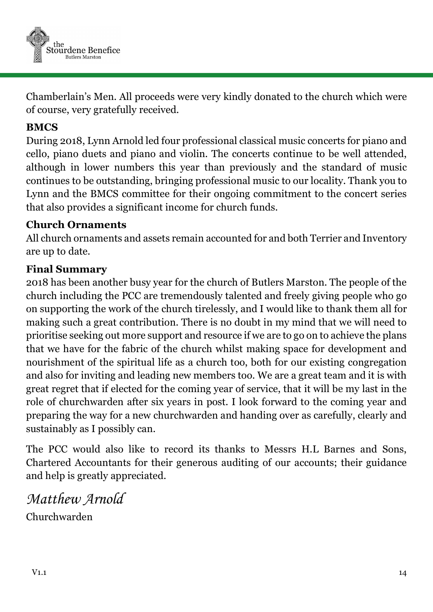

Chamberlain's Men. All proceeds were very kindly donated to the church which were of course, very gratefully received.

## **BMCS**

During 2018, Lynn Arnold led four professional classical music concerts for piano and cello, piano duets and piano and violin. The concerts continue to be well attended, although in lower numbers this year than previously and the standard of music continues to be outstanding, bringing professional music to our locality. Thank you to Lynn and the BMCS committee for their ongoing commitment to the concert series that also provides a significant income for church funds.

## **Church Ornaments**

All church ornaments and assets remain accounted for and both Terrier and Inventory are up to date.

#### **Final Summary**

2018 has been another busy year for the church of Butlers Marston. The people of the church including the PCC are tremendously talented and freely giving people who go on supporting the work of the church tirelessly, and I would like to thank them all for making such a great contribution. There is no doubt in my mind that we will need to prioritise seeking out more support and resource if we are to go on to achieve the plans that we have for the fabric of the church whilst making space for development and nourishment of the spiritual life as a church too, both for our existing congregation and also for inviting and leading new members too. We are a great team and it is with great regret that if elected for the coming year of service, that it will be my last in the role of churchwarden after six years in post. I look forward to the coming year and preparing the way for a new churchwarden and handing over as carefully, clearly and sustainably as I possibly can.

The PCC would also like to record its thanks to Messrs H.L Barnes and Sons, Chartered Accountants for their generous auditing of our accounts; their guidance and help is greatly appreciated.

*Matthew Arnold*  Churchwarden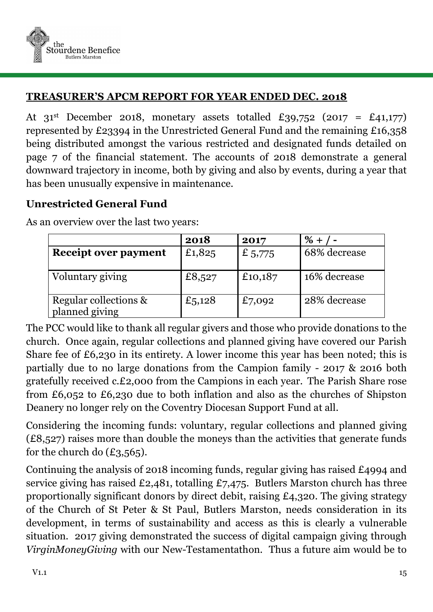

## **TREASURER'S APCM REPORT FOR YEAR ENDED DEC. 2018**

At  $31^{st}$  December 2018, monetary assets totalled £39,752 (2017 = £41,177) represented by £23394 in the Unrestricted General Fund and the remaining £16,358 being distributed amongst the various restricted and designated funds detailed on page 7 of the financial statement. The accounts of 2018 demonstrate a general downward trajectory in income, both by giving and also by events, during a year that has been unusually expensive in maintenance.

#### **Unrestricted General Fund**

|                                         | 2018   | 2017      | $% +$        |
|-----------------------------------------|--------|-----------|--------------|
| <b>Receipt over payment</b>             | £1,825 | £ $5,775$ | 68% decrease |
| Voluntary giving                        | £8,527 | £10,187   | 16% decrease |
| Regular collections &<br>planned giving | £5,128 | £7,092    | 28% decrease |

As an overview over the last two years:

The PCC would like to thank all regular givers and those who provide donations to the church. Once again, regular collections and planned giving have covered our Parish Share fee of £6,230 in its entirety. A lower income this year has been noted; this is partially due to no large donations from the Campion family - 2017 & 2016 both gratefully received c.£2,000 from the Campions in each year. The Parish Share rose from £6,052 to £6,230 due to both inflation and also as the churches of Shipston Deanery no longer rely on the Coventry Diocesan Support Fund at all.

Considering the incoming funds: voluntary, regular collections and planned giving (£8,527) raises more than double the moneys than the activities that generate funds for the church do (£3,565).

Continuing the analysis of 2018 incoming funds, regular giving has raised £4994 and service giving has raised  $£2,481$ , totalling  $£7,475$ . Butlers Marston church has three proportionally significant donors by direct debit, raising £4,320. The giving strategy of the Church of St Peter & St Paul, Butlers Marston, needs consideration in its development, in terms of sustainability and access as this is clearly a vulnerable situation. 2017 giving demonstrated the success of digital campaign giving through *VirginMoneyGiving* with our New-Testamentathon. Thus a future aim would be to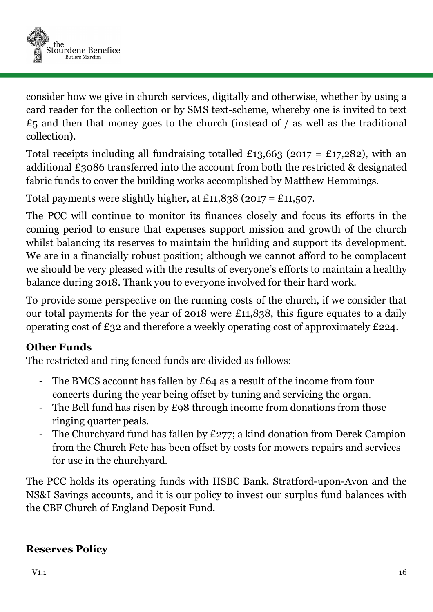

consider how we give in church services, digitally and otherwise, whether by using a card reader for the collection or by SMS text-scheme, whereby one is invited to text  $£5$  and then that money goes to the church (instead of  $\alpha$  as well as the traditional collection).

Total receipts including all fundraising totalled £13,663 (2017 = £17,282), with an additional £3086 transferred into the account from both the restricted & designated fabric funds to cover the building works accomplished by Matthew Hemmings.

```
Total payments were slightly higher, at £11,838 (2017 = £11,507.
```
The PCC will continue to monitor its finances closely and focus its efforts in the coming period to ensure that expenses support mission and growth of the church whilst balancing its reserves to maintain the building and support its development. We are in a financially robust position; although we cannot afford to be complacent we should be very pleased with the results of everyone's efforts to maintain a healthy balance during 2018. Thank you to everyone involved for their hard work.

To provide some perspective on the running costs of the church, if we consider that our total payments for the year of 2018 were £11,838, this figure equates to a daily operating cost of £32 and therefore a weekly operating cost of approximately £224.

# **Other Funds**

The restricted and ring fenced funds are divided as follows:

- The BMCS account has fallen by £64 as a result of the income from four concerts during the year being offset by tuning and servicing the organ.
- The Bell fund has risen by £98 through income from donations from those ringing quarter peals.
- The Churchyard fund has fallen by £277; a kind donation from Derek Campion from the Church Fete has been offset by costs for mowers repairs and services for use in the churchyard.

The PCC holds its operating funds with HSBC Bank, Stratford-upon-Avon and the NS&I Savings accounts, and it is our policy to invest our surplus fund balances with the CBF Church of England Deposit Fund.

# **Reserves Policy**